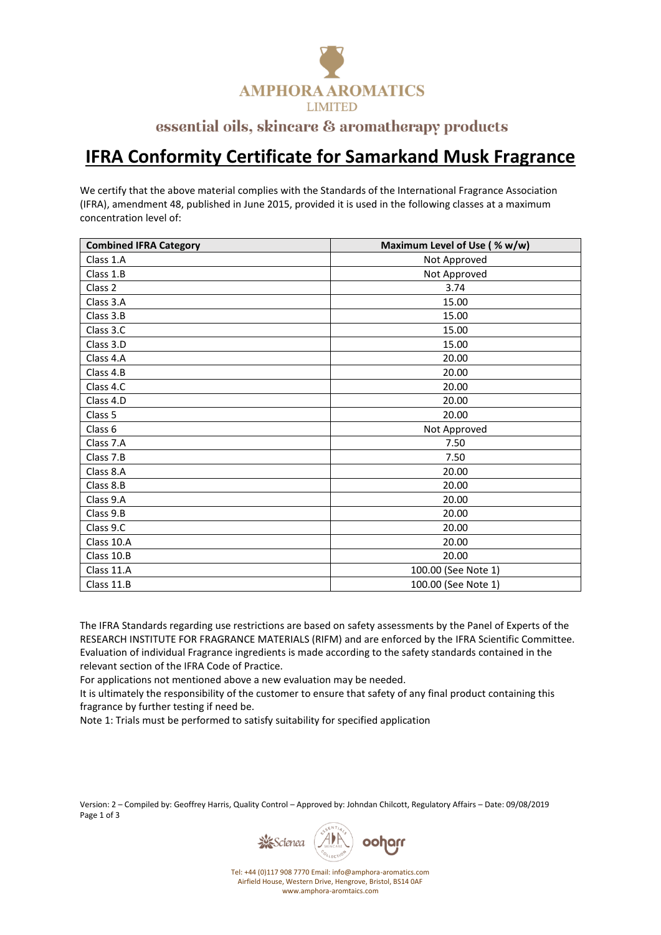

## essential oils, skincare & aromatherapy products

## **IFRA Conformity Certificate for Samarkand Musk Fragrance**

We certify that the above material complies with the Standards of the International Fragrance Association (IFRA), amendment 48, published in June 2015, provided it is used in the following classes at a maximum concentration level of:

| <b>Combined IFRA Category</b> | Maximum Level of Use (% w/w) |
|-------------------------------|------------------------------|
| Class 1.A                     | Not Approved                 |
| Class 1.B                     | Not Approved                 |
| Class 2                       | 3.74                         |
| Class 3.A                     | 15.00                        |
| Class 3.B                     | 15.00                        |
| Class 3.C                     | 15.00                        |
| Class 3.D                     | 15.00                        |
| Class 4.A                     | 20.00                        |
| Class 4.B                     | 20.00                        |
| Class 4.C                     | 20.00                        |
| Class 4.D                     | 20.00                        |
| Class 5                       | 20.00                        |
| Class 6                       | Not Approved                 |
| Class 7.A                     | 7.50                         |
| Class 7.B                     | 7.50                         |
| Class 8.A                     | 20.00                        |
| Class 8.B                     | 20.00                        |
| Class 9.A                     | 20.00                        |
| Class 9.B                     | 20.00                        |
| Class 9.C                     | 20.00                        |
| Class 10.A                    | 20.00                        |
| Class 10.B                    | 20.00                        |
| Class 11.A                    | 100.00 (See Note 1)          |
| Class 11.B                    | 100.00 (See Note 1)          |

The IFRA Standards regarding use restrictions are based on safety assessments by the Panel of Experts of the RESEARCH INSTITUTE FOR FRAGRANCE MATERIALS (RIFM) and are enforced by the IFRA Scientific Committee. Evaluation of individual Fragrance ingredients is made according to the safety standards contained in the relevant section of the IFRA Code of Practice.

For applications not mentioned above a new evaluation may be needed.

It is ultimately the responsibility of the customer to ensure that safety of any final product containing this fragrance by further testing if need be.

Note 1: Trials must be performed to satisfy suitability for specified application

Version: 2 – Compiled by: Geoffrey Harris, Quality Control – Approved by: Johndan Chilcott, Regulatory Affairs – Date: 09/08/2019 Page 1 of 3



Tel: +44 (0)117 908 7770 Email: info@amphora-aromatics.com Airfield House, Western Drive, Hengrove, Bristol, BS14 0AF www.amphora-aromtaics.com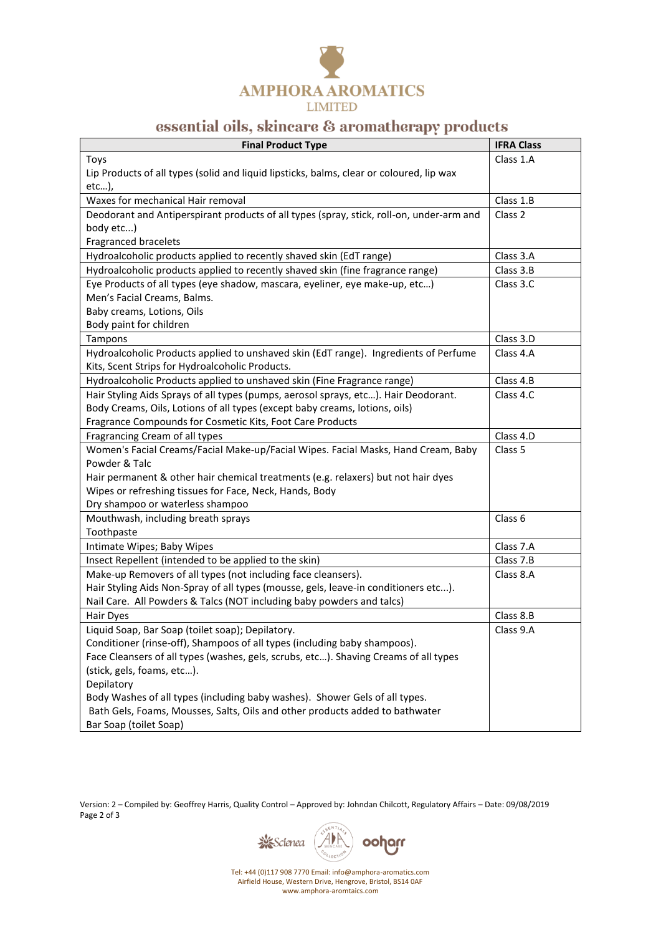

## essential oils, skincare & aromatherapy products

| <b>Final Product Type</b>                                                                | <b>IFRA Class</b>  |
|------------------------------------------------------------------------------------------|--------------------|
| Toys                                                                                     | Class 1.A          |
| Lip Products of all types (solid and liquid lipsticks, balms, clear or coloured, lip wax |                    |
| etc),                                                                                    |                    |
| Waxes for mechanical Hair removal                                                        | Class 1.B          |
| Deodorant and Antiperspirant products of all types (spray, stick, roll-on, under-arm and | Class 2            |
| body etc)                                                                                |                    |
| Fragranced bracelets                                                                     |                    |
| Hydroalcoholic products applied to recently shaved skin (EdT range)                      | Class 3.A          |
| Hydroalcoholic products applied to recently shaved skin (fine fragrance range)           | Class 3.B          |
| Eye Products of all types (eye shadow, mascara, eyeliner, eye make-up, etc)              | Class 3.C          |
| Men's Facial Creams, Balms.                                                              |                    |
| Baby creams, Lotions, Oils                                                               |                    |
| Body paint for children                                                                  |                    |
| Tampons                                                                                  | Class 3.D          |
| Hydroalcoholic Products applied to unshaved skin (EdT range). Ingredients of Perfume     | Class 4.A          |
| Kits, Scent Strips for Hydroalcoholic Products.                                          |                    |
| Hydroalcoholic Products applied to unshaved skin (Fine Fragrance range)                  | Class 4.B          |
| Hair Styling Aids Sprays of all types (pumps, aerosol sprays, etc). Hair Deodorant.      | Class 4.C          |
| Body Creams, Oils, Lotions of all types (except baby creams, lotions, oils)              |                    |
| Fragrance Compounds for Cosmetic Kits, Foot Care Products                                |                    |
| Fragrancing Cream of all types                                                           | Class 4.D          |
| Women's Facial Creams/Facial Make-up/Facial Wipes. Facial Masks, Hand Cream, Baby        | Class <sub>5</sub> |
| Powder & Talc                                                                            |                    |
| Hair permanent & other hair chemical treatments (e.g. relaxers) but not hair dyes        |                    |
| Wipes or refreshing tissues for Face, Neck, Hands, Body                                  |                    |
| Dry shampoo or waterless shampoo                                                         |                    |
| Mouthwash, including breath sprays                                                       | Class 6            |
| Toothpaste                                                                               |                    |
| Intimate Wipes; Baby Wipes                                                               | Class 7.A          |
| Insect Repellent (intended to be applied to the skin)                                    | Class 7.B          |
| Make-up Removers of all types (not including face cleansers).                            | Class 8.A          |
| Hair Styling Aids Non-Spray of all types (mousse, gels, leave-in conditioners etc).      |                    |
| Nail Care. All Powders & Talcs (NOT including baby powders and talcs)                    |                    |
| Hair Dyes                                                                                | Class 8.B          |
| Liquid Soap, Bar Soap (toilet soap); Depilatory.                                         | Class 9.A          |
| Conditioner (rinse-off), Shampoos of all types (including baby shampoos).                |                    |
| Face Cleansers of all types (washes, gels, scrubs, etc). Shaving Creams of all types     |                    |
| (stick, gels, foams, etc).                                                               |                    |
| Depilatory                                                                               |                    |
| Body Washes of all types (including baby washes). Shower Gels of all types.              |                    |
| Bath Gels, Foams, Mousses, Salts, Oils and other products added to bathwater             |                    |
| Bar Soap (toilet Soap)                                                                   |                    |

Version: 2 – Compiled by: Geoffrey Harris, Quality Control – Approved by: Johndan Chilcott, Regulatory Affairs – Date: 09/08/2019 Page 2 of 3



Tel: +44 (0)117 908 7770 Email: info@amphora-aromatics.com Airfield House, Western Drive, Hengrove, Bristol, BS14 0AF www.amphora-aromtaics.com